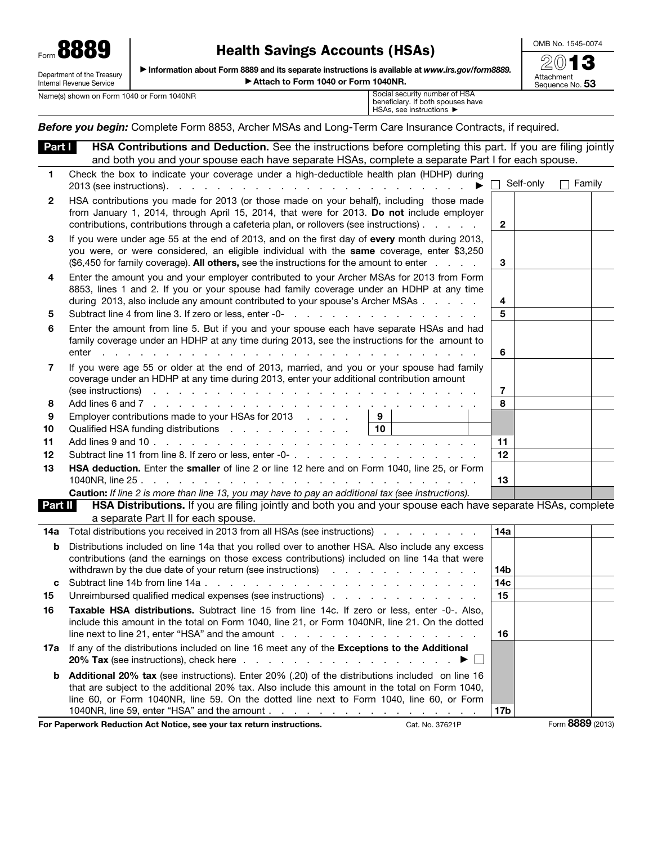Form 8889 Department of the Treasury

## Health Savings Accounts (HSAs)

OMB No. 1545-0074

▶ Information about Form 8889 and its separate instructions is available at *www.irs.gov/form8889.* ▶ Attach to Form 1040 or Form 1040NR.

| Attachment<br>Sequence No. <b>5</b> |  |
|-------------------------------------|--|

Internal Revenue Service Name(s) shown on Form 1040 or Form 1040NR

beneficiary. If both spouses have HSAs, see instructions ▶

*Before you begin:* Complete Form 8853, Archer MSAs and Long-Term Care Insurance Contracts, if required.

| <u>Part I</u> | <b>HSA Contributions and Deduction.</b> See the instructions before completing this part. If you are filing jointly                                                                                                                                                                                                                                                                                                       |                 |           |               |
|---------------|---------------------------------------------------------------------------------------------------------------------------------------------------------------------------------------------------------------------------------------------------------------------------------------------------------------------------------------------------------------------------------------------------------------------------|-----------------|-----------|---------------|
|               | and both you and your spouse each have separate HSAs, complete a separate Part I for each spouse.                                                                                                                                                                                                                                                                                                                         |                 |           |               |
| 1             | Check the box to indicate your coverage under a high-deductible health plan (HDHP) during                                                                                                                                                                                                                                                                                                                                 |                 | Self-only | $\Box$ Family |
| 2             | HSA contributions you made for 2013 (or those made on your behalf), including those made<br>from January 1, 2014, through April 15, 2014, that were for 2013. Do not include employer<br>contributions, contributions through a cafeteria plan, or rollovers (see instructions)                                                                                                                                           | $\mathbf{2}$    |           |               |
| 3             | If you were under age 55 at the end of 2013, and on the first day of every month during 2013,<br>you were, or were considered, an eligible individual with the same coverage, enter \$3,250<br>(\$6,450 for family coverage). All others, see the instructions for the amount to enter                                                                                                                                    | 3               |           |               |
| 4             | Enter the amount you and your employer contributed to your Archer MSAs for 2013 from Form<br>8853, lines 1 and 2. If you or your spouse had family coverage under an HDHP at any time<br>during 2013, also include any amount contributed to your spouse's Archer MSAs                                                                                                                                                    | 4<br>5          |           |               |
| 5             |                                                                                                                                                                                                                                                                                                                                                                                                                           |                 |           |               |
| 6             | Enter the amount from line 5. But if you and your spouse each have separate HSAs and had<br>family coverage under an HDHP at any time during 2013, see the instructions for the amount to                                                                                                                                                                                                                                 | 6               |           |               |
| 7             | If you were age 55 or older at the end of 2013, married, and you or your spouse had family<br>coverage under an HDHP at any time during 2013, enter your additional contribution amount<br>(see instructions) recovery recovery recovery recovery recovery recovery recovery recovery recovery recovery recovery recovery recovery recovery recovery recovery recovery recovery recovery recovery recovery recovery recov | 7               |           |               |
| 8             |                                                                                                                                                                                                                                                                                                                                                                                                                           | 8               |           |               |
| 9             | Employer contributions made to your HSAs for 2013<br>9                                                                                                                                                                                                                                                                                                                                                                    |                 |           |               |
| 10            | Qualified HSA funding distributions<br>10                                                                                                                                                                                                                                                                                                                                                                                 |                 |           |               |
| 11            |                                                                                                                                                                                                                                                                                                                                                                                                                           | 11              |           |               |
| 12            |                                                                                                                                                                                                                                                                                                                                                                                                                           | 12              |           |               |
| 13            | HSA deduction. Enter the smaller of line 2 or line 12 here and on Form 1040, line 25, or Form                                                                                                                                                                                                                                                                                                                             | 13              |           |               |
|               | Caution: If line 2 is more than line 13, you may have to pay an additional tax (see instructions).                                                                                                                                                                                                                                                                                                                        |                 |           |               |
| Part II       | HSA Distributions. If you are filing jointly and both you and your spouse each have separate HSAs, complete                                                                                                                                                                                                                                                                                                               |                 |           |               |
|               | a separate Part II for each spouse.                                                                                                                                                                                                                                                                                                                                                                                       |                 |           |               |
| 14a           | Total distributions you received in 2013 from all HSAs (see instructions)                                                                                                                                                                                                                                                                                                                                                 | 14a             |           |               |
| b             | Distributions included on line 14a that you rolled over to another HSA. Also include any excess                                                                                                                                                                                                                                                                                                                           |                 |           |               |
|               | contributions (and the earnings on those excess contributions) included on line 14a that were                                                                                                                                                                                                                                                                                                                             |                 |           |               |
|               | withdrawn by the due date of your return (see instructions) with the context of the context of the due to the m                                                                                                                                                                                                                                                                                                           | 14b             |           |               |
| C             |                                                                                                                                                                                                                                                                                                                                                                                                                           | 14 <sub>c</sub> |           |               |
| 15            | Unreimbursed qualified medical expenses (see instructions) enterstanding to the control of the control of the control of the control of the control of the control of the control of the control of the control of the control                                                                                                                                                                                            | 15              |           |               |
| 16            | Taxable HSA distributions. Subtract line 15 from line 14c. If zero or less, enter -0-. Also,                                                                                                                                                                                                                                                                                                                              |                 |           |               |
|               | include this amount in the total on Form 1040, line 21, or Form 1040NR, line 21. On the dotted<br>line next to line 21, enter "HSA" and the amount $\ldots$ , $\ldots$ , $\ldots$                                                                                                                                                                                                                                         | 16              |           |               |
| 17а           | If any of the distributions included on line 16 meet any of the Exceptions to the Additional<br><b>20% Tax</b> (see instructions), check here<br>$\mathbf{I}$                                                                                                                                                                                                                                                             |                 |           |               |
| b             | Additional 20% tax (see instructions). Enter 20% (.20) of the distributions included on line 16                                                                                                                                                                                                                                                                                                                           |                 |           |               |
|               | that are subject to the additional 20% tax. Also include this amount in the total on Form 1040,                                                                                                                                                                                                                                                                                                                           |                 |           |               |
|               | line 60, or Form 1040NR, line 59. On the dotted line next to Form 1040, line 60, or Form                                                                                                                                                                                                                                                                                                                                  |                 |           |               |
|               | 1040NR, line 59, enter "HSA" and the amount                                                                                                                                                                                                                                                                                                                                                                               | 17b             |           |               |

For Paperwork Reduction Act Notice, see your tax return instructions. Cat. No. 37621P Form 8889 (2013)